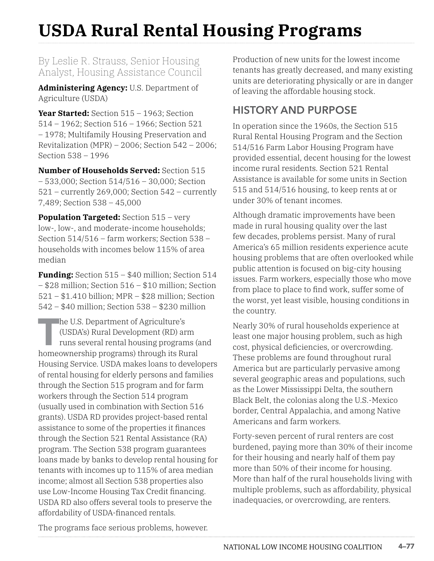# **USDA Rural Rental Housing Programs**

#### By Leslie R. Strauss, Senior Housing Analyst, Housing Assistance Council

**Administering Agency:** U.S. Department of Agriculture (USDA)

Year Started: Section 515 - 1963; Section 514 – 1962; Section 516 – 1966; Section 521 – 1978; Multifamily Housing Preservation and Revitalization (MPR) – 2006; Section 542 – 2006; Section 538 – 1996

**Number of Households Served:** Section 515 – 533,000; Section 514/516 – 30,000; Section 521 – currently 269,000; Section 542 – currently 7,489; Section 538 – 45,000

**Population Targeted:** Section 515 – very low-, low-, and moderate-income households; Section 514/516 – farm workers; Section 538 – households with incomes below 115% of area median

**Funding:** Section 515 – \$40 million; Section 514 – \$28 million; Section 516 – \$10 million; Section 521 – \$1.410 billion; MPR – \$28 million; Section 542 – \$40 million; Section 538 – \$230 million

The U.S. Department of Agriculture's<br>(USDA's) Rural Development (RD) ar<br>runs several rental housing progran<br>homeownership programs) through its Ru (USDA's) Rural Development (RD) arm runs several rental housing programs (and homeownership programs) through its Rural Housing Service. USDA makes loans to developers of rental housing for elderly persons and families through the Section 515 program and for farm workers through the Section 514 program (usually used in combination with Section 516 grants). USDA RD provides project-based rental assistance to some of the properties it finances through the Section 521 Rental Assistance (RA) program. The Section 538 program guarantees loans made by banks to develop rental housing for tenants with incomes up to 115% of area median income; almost all Section 538 properties also use Low-Income Housing Tax Credit financing. USDA RD also offers several tools to preserve the affordability of USDA-financed rentals.

Production of new units for the lowest income tenants has greatly decreased, and many existing units are deteriorating physically or are in danger of leaving the affordable housing stock.

#### **HISTORY AND PURPOSE**

In operation since the 1960s, the Section 515 Rural Rental Housing Program and the Section 514/516 Farm Labor Housing Program have provided essential, decent housing for the lowest income rural residents. Section 521 Rental Assistance is available for some units in Section 515 and 514/516 housing, to keep rents at or under 30% of tenant incomes.

Although dramatic improvements have been made in rural housing quality over the last few decades, problems persist. Many of rural America's 65 million residents experience acute housing problems that are often overlooked while public attention is focused on big-city housing issues. Farm workers, especially those who move from place to place to find work, suffer some of the worst, yet least visible, housing conditions in the country.

Nearly 30% of rural households experience at least one major housing problem, such as high cost, physical deficiencies, or overcrowding. These problems are found throughout rural America but are particularly pervasive among several geographic areas and populations, such as the Lower Mississippi Delta, the southern Black Belt, the colonias along the U.S.-Mexico border, Central Appalachia, and among Native Americans and farm workers.

Forty-seven percent of rural renters are cost burdened, paying more than 30% of their income for their housing and nearly half of them pay more than 50% of their income for housing. More than half of the rural households living with multiple problems, such as affordability, physical inadequacies, or overcrowding, are renters.

The programs face serious problems, however.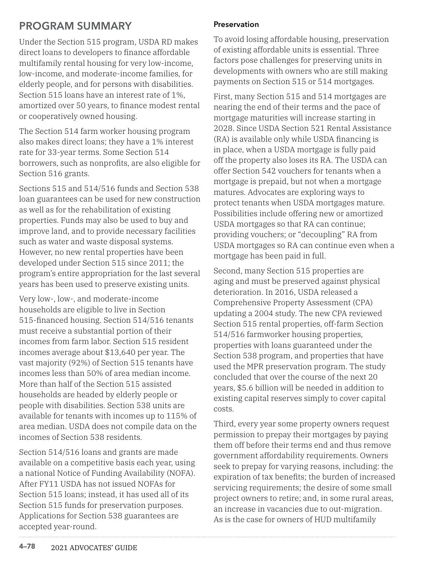#### **PROGRAM SUMMARY**

Under the Section 515 program, USDA RD makes direct loans to developers to finance affordable multifamily rental housing for very low-income, low-income, and moderate-income families, for elderly people, and for persons with disabilities. Section 515 loans have an interest rate of 1%, amortized over 50 years, to finance modest rental or cooperatively owned housing.

The Section 514 farm worker housing program also makes direct loans; they have a 1% interest rate for 33-year terms. Some Section 514 borrowers, such as nonprofits, are also eligible for Section 516 grants.

Sections 515 and 514/516 funds and Section 538 loan guarantees can be used for new construction as well as for the rehabilitation of existing properties. Funds may also be used to buy and improve land, and to provide necessary facilities such as water and waste disposal systems. However, no new rental properties have been developed under Section 515 since 2011; the program's entire appropriation for the last several years has been used to preserve existing units.

Very low-, low-, and moderate-income households are eligible to live in Section 515-financed housing. Section 514/516 tenants must receive a substantial portion of their incomes from farm labor. Section 515 resident incomes average about \$13,640 per year. The vast majority (92%) of Section 515 tenants have incomes less than 50% of area median income. More than half of the Section 515 assisted households are headed by elderly people or people with disabilities. Section 538 units are available for tenants with incomes up to 115% of area median. USDA does not compile data on the incomes of Section 538 residents.

Section 514/516 loans and grants are made available on a competitive basis each year, using a national Notice of Funding Availability (NOFA). After FY11 USDA has not issued NOFAs for Section 515 loans; instead, it has used all of its Section 515 funds for preservation purposes. Applications for Section 538 guarantees are accepted year-round.

#### **Preservation**

To avoid losing affordable housing, preservation of existing affordable units is essential. Three factors pose challenges for preserving units in developments with owners who are still making payments on Section 515 or 514 mortgages.

First, many Section 515 and 514 mortgages are nearing the end of their terms and the pace of mortgage maturities will increase starting in 2028. Since USDA Section 521 Rental Assistance (RA) is available only while USDA financing is in place, when a USDA mortgage is fully paid off the property also loses its RA. The USDA can offer Section 542 vouchers for tenants when a mortgage is prepaid, but not when a mortgage matures. Advocates are exploring ways to protect tenants when USDA mortgages mature. Possibilities include offering new or amortized USDA mortgages so that RA can continue; providing vouchers; or "decoupling" RA from USDA mortgages so RA can continue even when a mortgage has been paid in full.

Second, many Section 515 properties are aging and must be preserved against physical deterioration. In 2016, USDA released a Comprehensive Property Assessment (CPA) updating a 2004 study. The new CPA reviewed Section 515 rental properties, off-farm Section 514/516 farmworker housing properties, properties with loans guaranteed under the Section 538 program, and properties that have used the MPR preservation program. The study concluded that over the course of the next 20 years, \$5.6 billion will be needed in addition to existing capital reserves simply to cover capital costs.

Third, every year some property owners request permission to prepay their mortgages by paying them off before their terms end and thus remove government affordability requirements. Owners seek to prepay for varying reasons, including: the expiration of tax benefits; the burden of increased servicing requirements; the desire of some small project owners to retire; and, in some rural areas, an increase in vacancies due to out-migration. As is the case for owners of HUD multifamily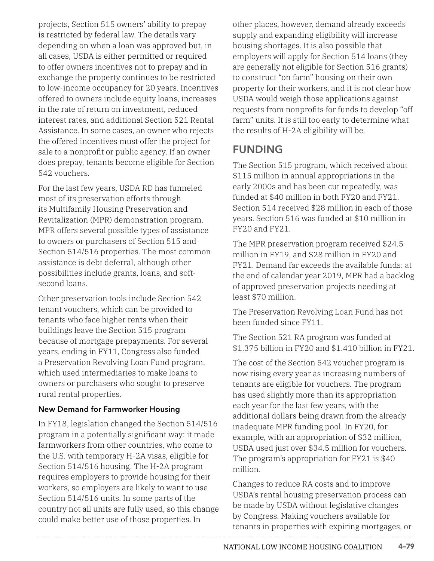projects, Section 515 owners' ability to prepay is restricted by federal law. The details vary depending on when a loan was approved but, in all cases, USDA is either permitted or required to offer owners incentives not to prepay and in exchange the property continues to be restricted to low-income occupancy for 20 years. Incentives offered to owners include equity loans, increases in the rate of return on investment, reduced interest rates, and additional Section 521 Rental Assistance. In some cases, an owner who rejects the offered incentives must offer the project for sale to a nonprofit or public agency. If an owner does prepay, tenants become eligible for Section 542 vouchers.

For the last few years, USDA RD has funneled most of its preservation efforts through its Multifamily Housing Preservation and Revitalization (MPR) demonstration program. MPR offers several possible types of assistance to owners or purchasers of Section 515 and Section 514/516 properties. The most common assistance is debt deferral, although other possibilities include grants, loans, and softsecond loans.

Other preservation tools include Section 542 tenant vouchers, which can be provided to tenants who face higher rents when their buildings leave the Section 515 program because of mortgage prepayments. For several years, ending in FY11, Congress also funded a Preservation Revolving Loan Fund program, which used intermediaries to make loans to owners or purchasers who sought to preserve rural rental properties.

#### **New Demand for Farmworker Housing**

In FY18, legislation changed the Section 514/516 program in a potentially significant way: it made farmworkers from other countries, who come to the U.S. with temporary H-2A visas, eligible for Section 514/516 housing. The H-2A program requires employers to provide housing for their workers, so employers are likely to want to use Section 514/516 units. In some parts of the country not all units are fully used, so this change could make better use of those properties. In

other places, however, demand already exceeds supply and expanding eligibility will increase housing shortages. It is also possible that employers will apply for Section 514 loans (they are generally not eligible for Section 516 grants) to construct "on farm" housing on their own property for their workers, and it is not clear how USDA would weigh those applications against requests from nonprofits for funds to develop "off farm" units. It is still too early to determine what the results of H-2A eligibility will be.

#### **FUNDING**

The Section 515 program, which received about \$115 million in annual appropriations in the early 2000s and has been cut repeatedly, was funded at \$40 million in both FY20 and FY21. Section 514 received \$28 million in each of those years. Section 516 was funded at \$10 million in FY20 and FY21.

The MPR preservation program received \$24.5 million in FY19, and \$28 million in FY20 and FY21. Demand far exceeds the available funds: at the end of calendar year 2019, MPR had a backlog of approved preservation projects needing at least \$70 million.

The Preservation Revolving Loan Fund has not been funded since FY11.

The Section 521 RA program was funded at \$1.375 billion in FY20 and \$1.410 billion in FY21.

The cost of the Section 542 voucher program is now rising every year as increasing numbers of tenants are eligible for vouchers. The program has used slightly more than its appropriation each year for the last few years, with the additional dollars being drawn from the already inadequate MPR funding pool. In FY20, for example, with an appropriation of \$32 million, USDA used just over \$34.5 million for vouchers. The program's appropriation for FY21 is \$40 million.

Changes to reduce RA costs and to improve USDA's rental housing preservation process can be made by USDA without legislative changes by Congress. Making vouchers available for tenants in properties with expiring mortgages, or